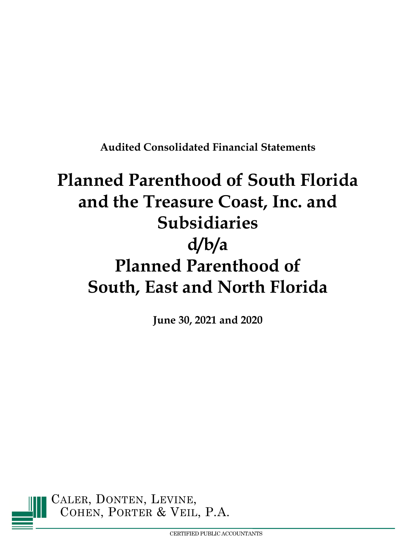**Audited Consolidated Financial Statements**

# **Planned Parenthood of South Florida and the Treasure Coast, Inc. and Subsidiaries d/b/a Planned Parenthood of South, East and North Florida**

**June 30, 2021 and 2020**



CERTIFIED PUBLIC ACCOUNTANTS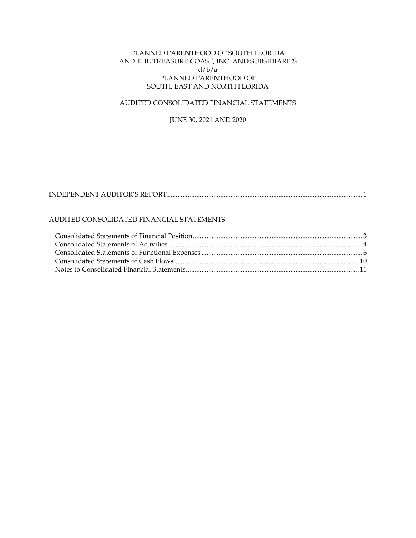#### PLANNED PARENTHOOD OF SOUTH FLORIDA AND THE TREASURE COAST, INC. AND SUBSIDIARIES d/b/a PLANNED PARENTHOOD OF SOUTH, EAST AND NORTH FLORIDA

#### AUDITED CONSOLIDATED FINANCIAL STATEMENTS

#### JUNE 30, 2021 AND 2020

#### AUDITED CONSOLIDATED FINANCIAL STATEMENTS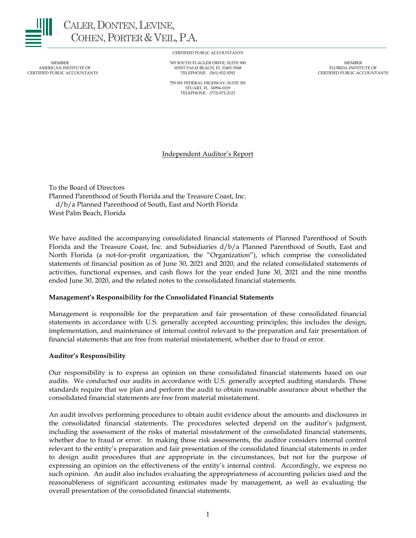

## CALER, DONTEN, LEVINE, COHEN, PORTER & VEIL, P.A.

CERTIFIED PUBLIC ACCOUNTANTS

 MEMBER 505 SOUTH FLAGLER DRIVE, SUITE 900 MEMBER AMERICAN INSTITUTE OF THE STEPHONE: (561) 83401-5948 FLORIDA INSTITUTE OF THE STEPHONE REACH, FL 33401-5948 FLORIDA INSTITUTE OF THE STEPHONE: (561) 832-9292 TELEPHONE: (561) 832-9292

 759 SW FEDERAL HIGHWAY, SUITE 301 STUART, FL 34994-1019 TELEPHONE: (772) 872-2123

#### Independent Auditor's Report

To the Board of Directors Planned Parenthood of South Florida and the Treasure Coast, Inc. d/b/a Planned Parenthood of South, East and North Florida West Palm Beach, Florida

We have audited the accompanying consolidated financial statements of Planned Parenthood of South Florida and the Treasure Coast, Inc. and Subsidiaries d/b/a Planned Parenthood of South, East and North Florida (a not-for-profit organization, the "Organization"), which comprise the consolidated statements of financial position as of June 30, 2021 and 2020, and the related consolidated statements of activities, functional expenses, and cash flows for the year ended June 30, 2021 and the nine months ended June 30, 2020, and the related notes to the consolidated financial statements.

#### **Management's Responsibility for the Consolidated Financial Statements**

Management is responsible for the preparation and fair presentation of these consolidated financial statements in accordance with U.S. generally accepted accounting principles; this includes the design, implementation, and maintenance of internal control relevant to the preparation and fair presentation of financial statements that are free from material misstatement, whether due to fraud or error.

#### **Auditor's Responsibility**

Our responsibility is to express an opinion on these consolidated financial statements based on our audits. We conducted our audits in accordance with U.S. generally accepted auditing standards. Those standards require that we plan and perform the audit to obtain reasonable assurance about whether the consolidated financial statements are free from material misstatement.

An audit involves performing procedures to obtain audit evidence about the amounts and disclosures in the consolidated financial statements. The procedures selected depend on the auditor's judgment, including the assessment of the risks of material misstatement of the consolidated financial statements, whether due to fraud or error. In making those risk assessments, the auditor considers internal control relevant to the entity's preparation and fair presentation of the consolidated financial statements in order to design audit procedures that are appropriate in the circumstances, but not for the purpose of expressing an opinion on the effectiveness of the entity's internal control. Accordingly, we express no such opinion. An audit also includes evaluating the appropriateness of accounting policies used and the reasonableness of significant accounting estimates made by management, as well as evaluating the overall presentation of the consolidated financial statements.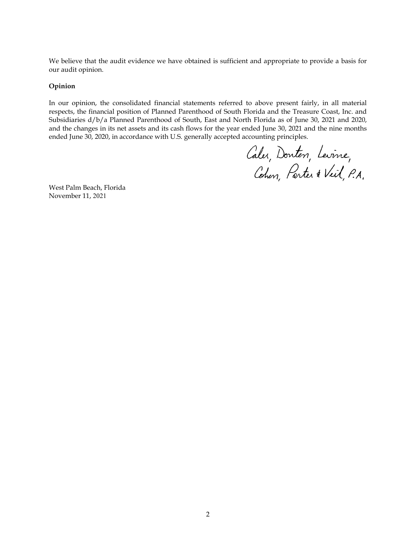We believe that the audit evidence we have obtained is sufficient and appropriate to provide a basis for our audit opinion.

#### **Opinion**

In our opinion, the consolidated financial statements referred to above present fairly, in all material respects, the financial position of Planned Parenthood of South Florida and the Treasure Coast, Inc. and Subsidiaries d/b/a Planned Parenthood of South, East and North Florida as of June 30, 2021 and 2020, and the changes in its net assets and its cash flows for the year ended June 30, 2021 and the nine months ended June 30, 2020, in accordance with U.S. generally accepted accounting principles.

Caler, Donten, Levine,<br>Cohen, Parter & Veil, P.A.

West Palm Beach, Florida November 11, 2021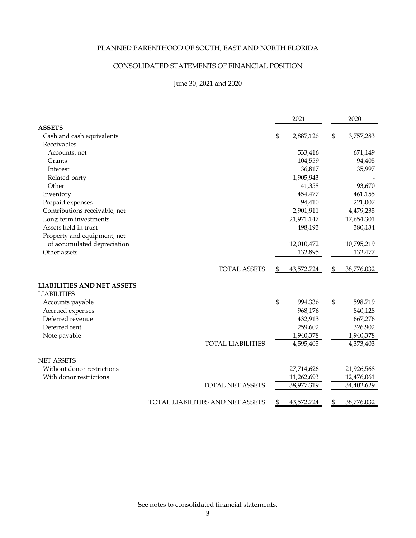## CONSOLIDATED STATEMENTS OF FINANCIAL POSITION

#### June 30, 2021 and 2020

|                                   |                                  | 2021             | 2020             |
|-----------------------------------|----------------------------------|------------------|------------------|
| <b>ASSETS</b>                     |                                  |                  |                  |
| Cash and cash equivalents         |                                  | \$<br>2,887,126  | \$<br>3,757,283  |
| Receivables                       |                                  |                  |                  |
| Accounts, net                     |                                  | 533,416          | 671,149          |
| Grants                            |                                  | 104,559          | 94,405           |
| Interest                          |                                  | 36,817           | 35,997           |
| Related party                     |                                  | 1,905,943        |                  |
| Other                             |                                  | 41,358           | 93,670           |
| Inventory                         |                                  | 454,477          | 461,155          |
| Prepaid expenses                  |                                  | 94,410           | 221,007          |
| Contributions receivable, net     |                                  | 2,901,911        | 4,479,235        |
| Long-term investments             |                                  | 21,971,147       | 17,654,301       |
| Assets held in trust              |                                  | 498,193          | 380,134          |
| Property and equipment, net       |                                  |                  |                  |
| of accumulated depreciation       |                                  | 12,010,472       | 10,795,219       |
| Other assets                      |                                  | 132,895          | 132,477          |
|                                   | <b>TOTAL ASSETS</b>              | \$<br>43,572,724 | \$<br>38,776,032 |
| <b>LIABILITIES AND NET ASSETS</b> |                                  |                  |                  |
| <b>LIABILITIES</b>                |                                  |                  |                  |
| Accounts payable                  |                                  | \$<br>994,336    | \$<br>598,719    |
| Accrued expenses                  |                                  | 968,176          | 840,128          |
| Deferred revenue                  |                                  | 432,913          | 667,276          |
| Deferred rent                     |                                  | 259,602          | 326,902          |
| Note payable                      |                                  | 1,940,378        | 1,940,378        |
|                                   | <b>TOTAL LIABILITIES</b>         | 4,595,405        | 4,373,403        |
| <b>NET ASSETS</b>                 |                                  |                  |                  |
| Without donor restrictions        |                                  | 27,714,626       | 21,926,568       |
| With donor restrictions           |                                  | 11,262,693       | 12,476,061       |
|                                   | <b>TOTAL NET ASSETS</b>          | 38,977,319       | 34,402,629       |
|                                   | TOTAL LIABILITIES AND NET ASSETS | \$<br>43,572,724 | \$<br>38,776,032 |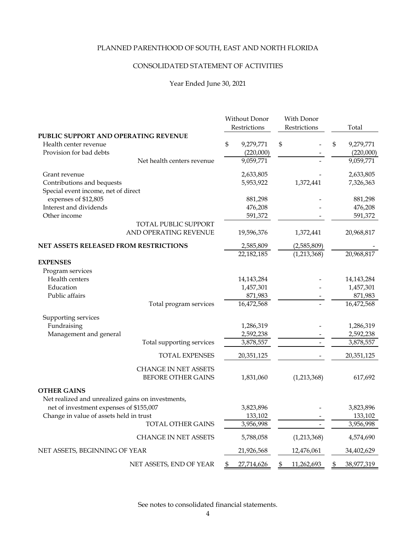## CONSOLIDATED STATEMENT OF ACTIVITIES

## Year Ended June 30, 2021

|                                                          | Without Donor    | With Donor   |                  |
|----------------------------------------------------------|------------------|--------------|------------------|
|                                                          | Restrictions     | Restrictions | Total            |
| PUBLIC SUPPORT AND OPERATING REVENUE                     |                  |              |                  |
| Health center revenue                                    | \$<br>9,279,771  | \$           | \$<br>9,279,771  |
| Provision for bad debts                                  | (220,000)        |              | (220,000)        |
| Net health centers revenue                               | 9,059,771        |              | 9,059,771        |
| Grant revenue                                            | 2,633,805        |              | 2,633,805        |
| Contributions and bequests                               | 5,953,922        | 1,372,441    | 7,326,363        |
| Special event income, net of direct                      |                  |              |                  |
| expenses of \$12,805                                     | 881,298          |              | 881,298          |
| Interest and dividends                                   | 476,208          |              | 476,208          |
| Other income                                             | 591,372          |              | 591,372          |
| <b>TOTAL PUBLIC SUPPORT</b>                              |                  |              |                  |
| AND OPERATING REVENUE                                    | 19,596,376       | 1,372,441    | 20,968,817       |
| <b>NET ASSETS RELEASED FROM RESTRICTIONS</b>             | 2,585,809        | (2,585,809)  |                  |
|                                                          | 22,182,185       | (1,213,368)  | 20,968,817       |
| <b>EXPENSES</b>                                          |                  |              |                  |
| Program services                                         |                  |              |                  |
| Health centers                                           | 14, 143, 284     |              | 14, 143, 284     |
| Education                                                | 1,457,301        |              | 1,457,301        |
| Public affairs                                           | 871,983          |              | 871,983          |
| Total program services                                   | 16,472,568       |              | 16,472,568       |
| Supporting services                                      |                  |              |                  |
| Fundraising                                              | 1,286,319        |              | 1,286,319        |
| Management and general                                   | 2,592,238        |              | 2,592,238        |
| Total supporting services                                | 3,878,557        |              | 3,878,557        |
| <b>TOTAL EXPENSES</b>                                    | 20,351,125       |              | 20,351,125       |
| <b>CHANGE IN NET ASSETS</b><br><b>BEFORE OTHER GAINS</b> | 1,831,060        | (1,213,368)  | 617,692          |
|                                                          |                  |              |                  |
| <b>OTHER GAINS</b>                                       |                  |              |                  |
| Net realized and unrealized gains on investments,        |                  |              |                  |
| net of investment expenses of \$155,007                  | 3,823,896        |              | 3,823,896        |
| Change in value of assets held in trust                  | 133,102          |              | 133,102          |
| <b>TOTAL OTHER GAINS</b>                                 | 3,956,998        |              | 3,956,998        |
| <b>CHANGE IN NET ASSETS</b>                              | 5,788,058        | (1,213,368)  | 4,574,690        |
| NET ASSETS, BEGINNING OF YEAR                            | 21,926,568       | 12,476,061   | 34,402,629       |
| NET ASSETS, END OF YEAR                                  | 27,714,626<br>\$ | 11,262,693   | 38,977,319<br>\$ |

See notes to consolidated financial statements.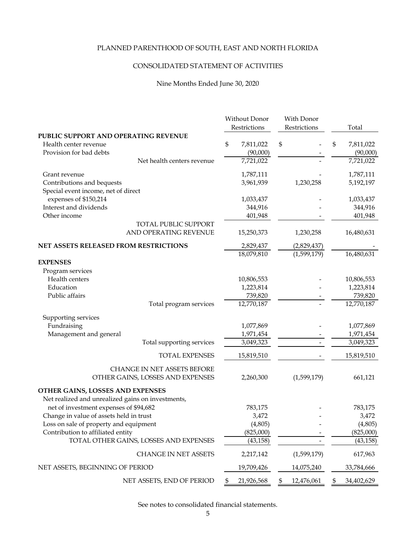## CONSOLIDATED STATEMENT OF ACTIVITIES

## Nine Months Ended June 30, 2020

|                                                                                       | Without Donor<br>Restrictions | With Donor<br>Restrictions | Total            |
|---------------------------------------------------------------------------------------|-------------------------------|----------------------------|------------------|
| PUBLIC SUPPORT AND OPERATING REVENUE                                                  |                               |                            |                  |
| Health center revenue                                                                 | \$<br>7,811,022               | \$                         | \$<br>7,811,022  |
| Provision for bad debts                                                               | (90,000)                      |                            | (90,000)         |
| Net health centers revenue                                                            | 7,721,022                     |                            | 7,721,022        |
| Grant revenue                                                                         | 1,787,111                     |                            | 1,787,111        |
| Contributions and bequests                                                            | 3,961,939                     | 1,230,258                  | 5,192,197        |
| Special event income, net of direct                                                   |                               |                            |                  |
| expenses of \$150,214                                                                 | 1,033,437                     |                            | 1,033,437        |
| Interest and dividends                                                                | 344,916                       |                            | 344,916          |
| Other income                                                                          | 401,948                       |                            | 401,948          |
| TOTAL PUBLIC SUPPORT                                                                  |                               |                            |                  |
| AND OPERATING REVENUE                                                                 | 15,250,373                    | 1,230,258                  | 16,480,631       |
| NET ASSETS RELEASED FROM RESTRICTIONS                                                 | 2,829,437                     | (2,829,437)                |                  |
|                                                                                       | 18,079,810                    | (1,599,179)                | 16,480,631       |
| <b>EXPENSES</b>                                                                       |                               |                            |                  |
| Program services                                                                      |                               |                            |                  |
| Health centers                                                                        | 10,806,553                    |                            | 10,806,553       |
| Education                                                                             | 1,223,814                     |                            | 1,223,814        |
| Public affairs                                                                        | 739,820                       |                            | 739,820          |
| Total program services                                                                | 12,770,187                    |                            | 12,770,187       |
| Supporting services                                                                   |                               |                            |                  |
| Fundraising                                                                           | 1,077,869                     |                            | 1,077,869        |
| Management and general                                                                | 1,971,454                     |                            | 1,971,454        |
| Total supporting services                                                             | 3,049,323                     |                            | 3,049,323        |
| <b>TOTAL EXPENSES</b>                                                                 | 15,819,510                    |                            | 15,819,510       |
| CHANGE IN NET ASSETS BEFORE<br>OTHER GAINS, LOSSES AND EXPENSES                       | 2,260,300                     | (1,599,179)                | 661,121          |
| OTHER GAINS, LOSSES AND EXPENSES<br>Net realized and unrealized gains on investments, |                               |                            |                  |
| net of investment expenses of \$94,682                                                | 783,175                       |                            | 783,175          |
| Change in value of assets held in trust                                               | 3,472                         |                            | 3,472            |
| Loss on sale of property and equipment                                                | (4,805)                       |                            | (4,805)          |
| Contribution to affiliated entity                                                     | (825,000)                     |                            | (825,000)        |
| TOTAL OTHER GAINS, LOSSES AND EXPENSES                                                | (43, 158)                     |                            | (43, 158)        |
| <b>CHANGE IN NET ASSETS</b>                                                           | 2,217,142                     | (1,599,179)                | 617,963          |
| NET ASSETS, BEGINNING OF PERIOD                                                       | 19,709,426                    | 14,075,240                 | 33,784,666       |
| NET ASSETS, END OF PERIOD                                                             | 21,926,568<br>S               | 12,476,061<br>S            | 34,402,629<br>\$ |

See notes to consolidated financial statements.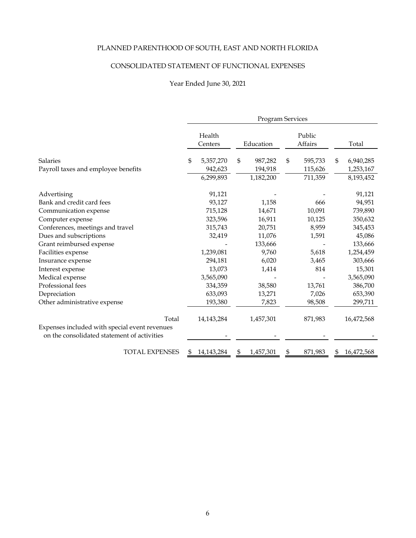## CONSOLIDATED STATEMENT OF FUNCTIONAL EXPENSES

## Year Ended June 30, 2021

|                                                                                              | Program Services |                                   |    |                                 |    |                               |    |                                     |
|----------------------------------------------------------------------------------------------|------------------|-----------------------------------|----|---------------------------------|----|-------------------------------|----|-------------------------------------|
|                                                                                              |                  | Health<br>Centers                 |    | Education                       |    | Public<br>Affairs             |    | Total                               |
| <b>Salaries</b><br>Payroll taxes and employee benefits                                       | \$               | 5,357,270<br>942,623<br>6,299,893 | \$ | 987,282<br>194,918<br>1,182,200 | \$ | 595,733<br>115,626<br>711,359 | \$ | 6,940,285<br>1,253,167<br>8,193,452 |
| Advertising<br>Bank and credit card fees                                                     |                  | 91,121<br>93,127                  |    |                                 |    |                               |    | 91,121                              |
| Communication expense                                                                        |                  | 715,128                           |    | 1,158<br>14,671                 |    | 666<br>10,091                 |    | 94,951<br>739,890                   |
| Computer expense<br>Conferences, meetings and travel                                         |                  | 323,596<br>315,743                |    | 16,911<br>20,751                |    | 10,125<br>8,959               |    | 350,632<br>345,453                  |
| Dues and subscriptions<br>Grant reimbursed expense                                           |                  | 32,419                            |    | 11,076<br>133,666               |    | 1,591                         |    | 45,086<br>133,666                   |
| Facilities expense<br>Insurance expense                                                      |                  | 1,239,081<br>294,181              |    | 9,760<br>6,020                  |    | 5,618<br>3,465                |    | 1,254,459<br>303,666                |
| Interest expense                                                                             |                  | 13,073                            |    | 1,414                           |    | 814                           |    | 15,301                              |
| Medical expense<br>Professional fees                                                         |                  | 3,565,090<br>334,359              |    | 38,580                          |    | 13,761                        |    | 3,565,090<br>386,700                |
| Depreciation<br>Other administrative expense                                                 |                  | 633,093<br>193,380                |    | 13,271<br>7,823                 |    | 7,026<br>98,508               |    | 653,390<br>299,711                  |
| Total                                                                                        |                  | 14,143,284                        |    | 1,457,301                       |    | 871,983                       |    | 16,472,568                          |
| Expenses included with special event revenues<br>on the consolidated statement of activities |                  |                                   |    |                                 |    |                               |    |                                     |
| <b>TOTAL EXPENSES</b>                                                                        | \$               | 14,143,284                        | \$ | 1,457,301                       |    | 871,983                       | 5  | 16,472,568                          |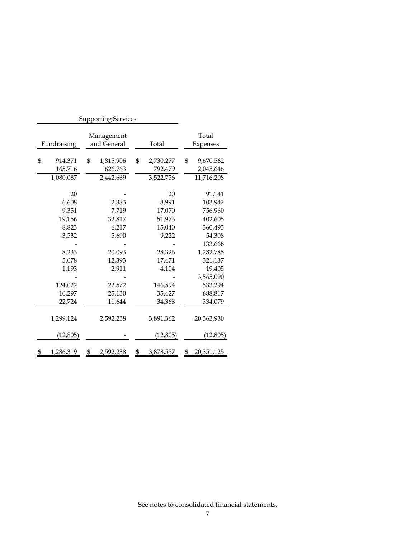| <b>Supporting Services</b> |                                                                                                  |    |                                                                                             |    |                                                                                                      |    |                                                                                                                                              |
|----------------------------|--------------------------------------------------------------------------------------------------|----|---------------------------------------------------------------------------------------------|----|------------------------------------------------------------------------------------------------------|----|----------------------------------------------------------------------------------------------------------------------------------------------|
|                            | Fundraising                                                                                      |    | Management<br>and General                                                                   |    | Total                                                                                                |    | Total<br>Expenses                                                                                                                            |
| \$                         | 914,371<br>165,716<br>1,080,087                                                                  | \$ | 1,815,906<br>626,763<br>2,442,669                                                           | \$ | 2,730,277<br>792,479<br>3,522,756                                                                    | \$ | 9,670,562<br>2,045,646<br>11,716,208                                                                                                         |
|                            | 20<br>6,608<br>9,351<br>19,156<br>8,823<br>3,532<br>8,233<br>5,078<br>1,193<br>124,022<br>10,297 |    | 2,383<br>7,719<br>32,817<br>6,217<br>5,690<br>20,093<br>12,393<br>2,911<br>22,572<br>25,130 |    | 20<br>8.991<br>17,070<br>51,973<br>15,040<br>9,222<br>28,326<br>17,471<br>4,104<br>146,594<br>35,427 |    | 91,141<br>103,942<br>756,960<br>402,605<br>360,493<br>54,308<br>133,666<br>1,282,785<br>321,137<br>19,405<br>3,565,090<br>533,294<br>688,817 |
|                            | 22,724<br>1,299,124                                                                              |    | 11,644<br>2,592,238                                                                         |    | 34,368<br>3,891,362                                                                                  |    | 334,079<br>20,363,930                                                                                                                        |
| \$                         | (12, 805)<br>1,286,319                                                                           | \$ | <u>2,592,238</u>                                                                            | \$ | (12, 805)<br>3,878,557                                                                               | \$ | (12, 805)<br>20,351,125                                                                                                                      |

See notes to consolidated financial statements.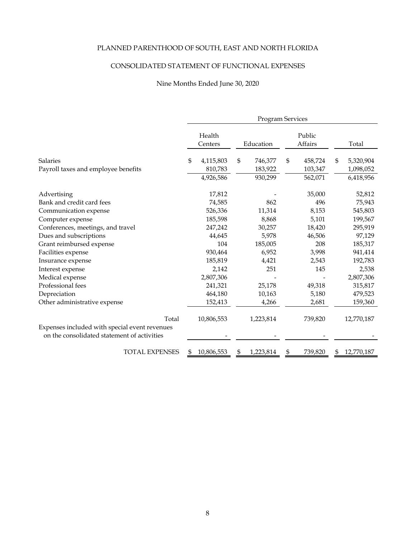## CONSOLIDATED STATEMENT OF FUNCTIONAL EXPENSES

## Nine Months Ended June 30, 2020

|                                                                                              | <b>Program Services</b> |                      |    |                    |    |                          |    |                        |  |
|----------------------------------------------------------------------------------------------|-------------------------|----------------------|----|--------------------|----|--------------------------|----|------------------------|--|
|                                                                                              |                         | Health<br>Centers    |    | Education          |    | Public<br><b>Affairs</b> |    | Total                  |  |
| Salaries                                                                                     | \$                      | 4,115,803            | \$ | 746,377            | \$ | 458,724                  | \$ | 5,320,904              |  |
| Payroll taxes and employee benefits                                                          |                         | 810,783<br>4,926,586 |    | 183,922<br>930,299 |    | 103,347<br>562,071       |    | 1,098,052<br>6,418,956 |  |
| Advertising                                                                                  |                         | 17,812               |    |                    |    | 35,000                   |    | 52,812                 |  |
| Bank and credit card fees                                                                    |                         | 74,585               |    | 862                |    | 496                      |    | 75,943                 |  |
| Communication expense                                                                        |                         | 526,336              |    | 11,314             |    | 8,153                    |    | 545,803                |  |
| Computer expense                                                                             |                         | 185,598              |    | 8,868              |    | 5,101                    |    | 199,567                |  |
| Conferences, meetings, and travel                                                            |                         | 247,242              |    | 30,257             |    | 18,420                   |    | 295,919                |  |
| Dues and subscriptions                                                                       |                         | 44,645               |    | 5,978              |    | 46,506                   |    | 97,129                 |  |
| Grant reimbursed expense                                                                     |                         | 104                  |    | 185,005            |    | 208                      |    | 185,317                |  |
| Facilities expense                                                                           |                         | 930,464              |    | 6,952              |    | 3,998                    |    | 941,414                |  |
| Insurance expense                                                                            |                         | 185,819              |    | 4,421              |    | 2,543                    |    | 192,783                |  |
| Interest expense                                                                             |                         | 2,142                |    | 251                |    | 145                      |    | 2,538                  |  |
| Medical expense                                                                              |                         | 2,807,306            |    |                    |    |                          |    | 2,807,306              |  |
| Professional fees                                                                            |                         | 241,321              |    | 25,178             |    | 49,318                   |    | 315,817                |  |
| Depreciation                                                                                 |                         | 464,180              |    | 10,163             |    | 5,180                    |    | 479,523                |  |
| Other administrative expense                                                                 |                         | 152,413              |    | 4,266              |    | 2,681                    |    | 159,360                |  |
| Total                                                                                        |                         | 10,806,553           |    | 1,223,814          |    | 739,820                  |    | 12,770,187             |  |
| Expenses included with special event revenues<br>on the consolidated statement of activities |                         |                      |    |                    |    |                          |    |                        |  |
| <b>TOTAL EXPENSES</b>                                                                        | \$                      | 10,806,553           | \$ | 1,223,814          |    | 739,820                  | \$ | 12,770,187             |  |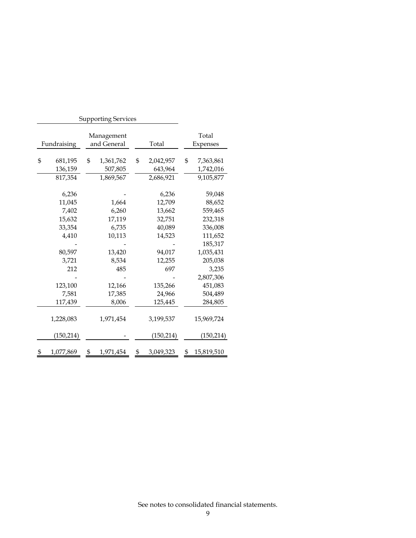| <b>Supporting Services</b> |                            |    |                           |                              |
|----------------------------|----------------------------|----|---------------------------|------------------------------|
| Fundraising                | Management<br>and General  |    | Total                     | Total<br>Expenses            |
| \$<br>681,195<br>136,159   | \$<br>1,361,762<br>507,805 | \$ | 2,042,957<br>643,964      | \$<br>7,363,861<br>1,742,016 |
| 817,354                    | 1,869,567                  |    | 2,686,921                 | 9,105,877                    |
| 6,236<br>11,045<br>7,402   | 1,664<br>6,260             |    | 6,236<br>12,709<br>13,662 | 59,048<br>88,652<br>559,465  |
| 15,632                     | 17,119                     |    | 32,751                    | 232,318                      |
| 33,354                     | 6,735                      |    | 40,089                    | 336,008                      |
| 4,410                      | 10,113                     |    | 14,523                    | 111,652                      |
|                            |                            |    |                           | 185,317                      |
| 80,597                     | 13,420                     |    | 94,017                    | 1,035,431                    |
| 3,721                      | 8,534                      |    | 12,255                    | 205,038                      |
| 212                        | 485                        |    | 697                       | 3,235                        |
|                            |                            |    |                           | 2,807,306                    |
| 123,100                    | 12,166                     |    | 135,266                   | 451,083                      |
| 7,581                      | 17,385                     |    | 24,966                    | 504,489                      |
| 117,439                    | 8,006                      |    | 125,445                   | 284,805                      |
| 1,228,083                  | 1,971,454                  |    | 3,199,537                 | 15,969,724                   |
| (150,214)                  |                            |    | (150,214)                 | (150, 214)                   |
| <u>1,077,8</u> 69          | 1,971,454                  |    | <u>3,049,323</u>          | 15,819,510                   |

See notes to consolidated financial statements.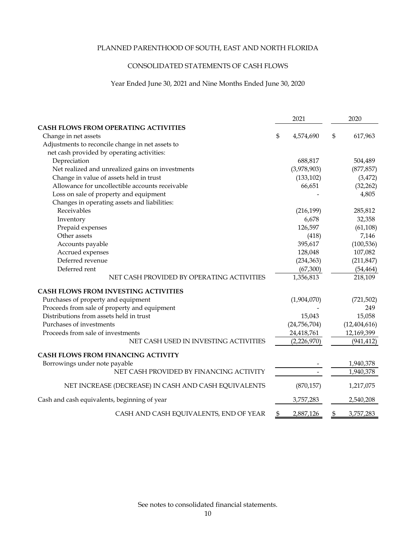## CONSOLIDATED STATEMENTS OF CASH FLOWS

## Year Ended June 30, 2021 and Nine Months Ended June 30, 2020

|                                                      | 2021            | 2020            |
|------------------------------------------------------|-----------------|-----------------|
| <b>CASH FLOWS FROM OPERATING ACTIVITIES</b>          |                 |                 |
| Change in net assets                                 | \$<br>4,574,690 | \$<br>617,963   |
| Adjustments to reconcile change in net assets to     |                 |                 |
| net cash provided by operating activities:           |                 |                 |
| Depreciation                                         | 688,817         | 504,489         |
| Net realized and unrealized gains on investments     | (3,978,903)     | (877, 857)      |
| Change in value of assets held in trust              | (133, 102)      | (3, 472)        |
| Allowance for uncollectible accounts receivable      | 66,651          | (32, 262)       |
| Loss on sale of property and equipment               |                 | 4,805           |
| Changes in operating assets and liabilities:         |                 |                 |
| Receivables                                          | (216, 199)      | 285,812         |
| Inventory                                            | 6,678           | 32,358          |
| Prepaid expenses                                     | 126,597         | (61, 108)       |
| Other assets                                         | (418)           | 7,146           |
| Accounts payable                                     | 395,617         | (100, 536)      |
| Accrued expenses                                     | 128,048         | 107,082         |
| Deferred revenue                                     | (234, 363)      | (211, 847)      |
| Deferred rent                                        | (67, 300)       | (54, 464)       |
| NET CASH PROVIDED BY OPERATING ACTIVITIES            | 1,356,813       | 218,109         |
| <b>CASH FLOWS FROM INVESTING ACTIVITIES</b>          |                 |                 |
| Purchases of property and equipment                  | (1,904,070)     | (721, 502)      |
| Proceeds from sale of property and equipment         |                 | 249             |
| Distributions from assets held in trust              | 15,043          | 15,058          |
| Purchases of investments                             | (24,756,704)    | (12, 404, 616)  |
| Proceeds from sale of investments                    | 24,418,761      | 12,169,399      |
| NET CASH USED IN INVESTING ACTIVITIES                | (2,226,970)     | (941, 412)      |
| <b>CASH FLOWS FROM FINANCING ACTIVITY</b>            |                 |                 |
| Borrowings under note payable                        |                 | 1,940,378       |
| NET CASH PROVIDED BY FINANCING ACTIVITY              |                 | 1,940,378       |
| NET INCREASE (DECREASE) IN CASH AND CASH EQUIVALENTS | (870, 157)      | 1,217,075       |
| Cash and cash equivalents, beginning of year         | 3,757,283       | 2,540,208       |
| CASH AND CASH EQUIVALENTS, END OF YEAR               | \$<br>2,887,126 | \$<br>3,757,283 |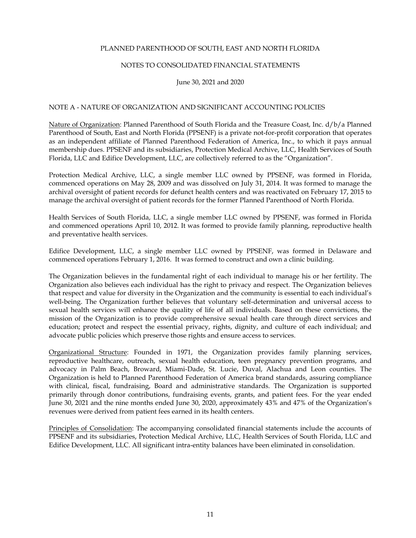#### NOTES TO CONSOLIDATED FINANCIAL STATEMENTS

#### June 30, 2021 and 2020

#### NOTE A - NATURE OF ORGANIZATION AND SIGNIFICANT ACCOUNTING POLICIES

Nature of Organization: Planned Parenthood of South Florida and the Treasure Coast, Inc. d/b/a Planned Parenthood of South, East and North Florida (PPSENF) is a private not-for-profit corporation that operates as an independent affiliate of Planned Parenthood Federation of America, Inc., to which it pays annual membership dues. PPSENF and its subsidiaries, Protection Medical Archive, LLC, Health Services of South Florida, LLC and Edifice Development, LLC, are collectively referred to as the "Organization".

Protection Medical Archive, LLC, a single member LLC owned by PPSENF, was formed in Florida, commenced operations on May 28, 2009 and was dissolved on July 31, 2014. It was formed to manage the archival oversight of patient records for defunct health centers and was reactivated on February 17, 2015 to manage the archival oversight of patient records for the former Planned Parenthood of North Florida.

Health Services of South Florida, LLC, a single member LLC owned by PPSENF, was formed in Florida and commenced operations April 10, 2012. It was formed to provide family planning, reproductive health and preventative health services.

Edifice Development, LLC, a single member LLC owned by PPSENF, was formed in Delaware and commenced operations February 1, 2016. It was formed to construct and own a clinic building.

The Organization believes in the fundamental right of each individual to manage his or her fertility. The Organization also believes each individual has the right to privacy and respect. The Organization believes that respect and value for diversity in the Organization and the community is essential to each individual's well-being. The Organization further believes that voluntary self-determination and universal access to sexual health services will enhance the quality of life of all individuals. Based on these convictions, the mission of the Organization is to provide comprehensive sexual health care through direct services and education; protect and respect the essential privacy, rights, dignity, and culture of each individual; and advocate public policies which preserve those rights and ensure access to services.

Organizational Structure: Founded in 1971, the Organization provides family planning services, reproductive healthcare, outreach, sexual health education, teen pregnancy prevention programs, and advocacy in Palm Beach, Broward, Miami-Dade, St. Lucie, Duval, Alachua and Leon counties. The Organization is held to Planned Parenthood Federation of America brand standards, assuring compliance with clinical, fiscal, fundraising, Board and administrative standards. The Organization is supported primarily through donor contributions, fundraising events, grants, and patient fees. For the year ended June 30, 2021 and the nine months ended June 30, 2020, approximately 43% and 47% of the Organization's revenues were derived from patient fees earned in its health centers.

Principles of Consolidation: The accompanying consolidated financial statements include the accounts of PPSENF and its subsidiaries, Protection Medical Archive, LLC, Health Services of South Florida, LLC and Edifice Development, LLC. All significant intra-entity balances have been eliminated in consolidation.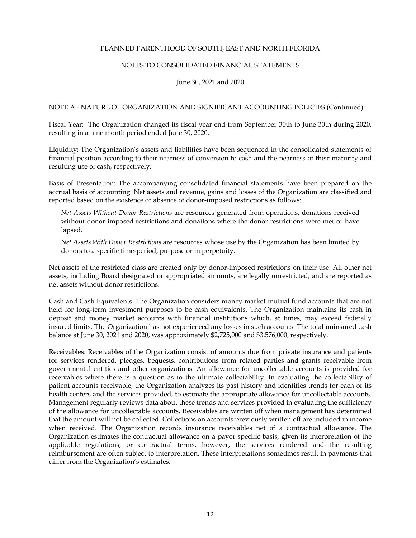#### NOTES TO CONSOLIDATED FINANCIAL STATEMENTS

#### June 30, 2021 and 2020

#### NOTE A - NATURE OF ORGANIZATION AND SIGNIFICANT ACCOUNTING POLICIES (Continued)

Fiscal Year: The Organization changed its fiscal year end from September 30th to June 30th during 2020, resulting in a nine month period ended June 30, 2020.

Liquidity: The Organization's assets and liabilities have been sequenced in the consolidated statements of financial position according to their nearness of conversion to cash and the nearness of their maturity and resulting use of cash, respectively.

Basis of Presentation: The accompanying consolidated financial statements have been prepared on the accrual basis of accounting. Net assets and revenue, gains and losses of the Organization are classified and reported based on the existence or absence of donor-imposed restrictions as follows:

*Net Assets Without Donor Restrictions* are resources generated from operations, donations received without donor-imposed restrictions and donations where the donor restrictions were met or have lapsed.

*Net Assets With Donor Restrictions* are resources whose use by the Organization has been limited by donors to a specific time-period, purpose or in perpetuity.

Net assets of the restricted class are created only by donor-imposed restrictions on their use. All other net assets, including Board designated or appropriated amounts, are legally unrestricted, and are reported as net assets without donor restrictions.

Cash and Cash Equivalents: The Organization considers money market mutual fund accounts that are not held for long-term investment purposes to be cash equivalents. The Organization maintains its cash in deposit and money market accounts with financial institutions which, at times, may exceed federally insured limits. The Organization has not experienced any losses in such accounts. The total uninsured cash balance at June 30, 2021 and 2020, was approximately \$2,725,000 and \$3,576,000, respectively.

Receivables: Receivables of the Organization consist of amounts due from private insurance and patients for services rendered, pledges, bequests, contributions from related parties and grants receivable from governmental entities and other organizations. An allowance for uncollectable accounts is provided for receivables where there is a question as to the ultimate collectability. In evaluating the collectability of patient accounts receivable, the Organization analyzes its past history and identifies trends for each of its health centers and the services provided, to estimate the appropriate allowance for uncollectable accounts. Management regularly reviews data about these trends and services provided in evaluating the sufficiency of the allowance for uncollectable accounts. Receivables are written off when management has determined that the amount will not be collected. Collections on accounts previously written off are included in income when received. The Organization records insurance receivables net of a contractual allowance. The Organization estimates the contractual allowance on a payor specific basis, given its interpretation of the applicable regulations, or contractual terms, however, the services rendered and the resulting reimbursement are often subject to interpretation. These interpretations sometimes result in payments that differ from the Organization's estimates.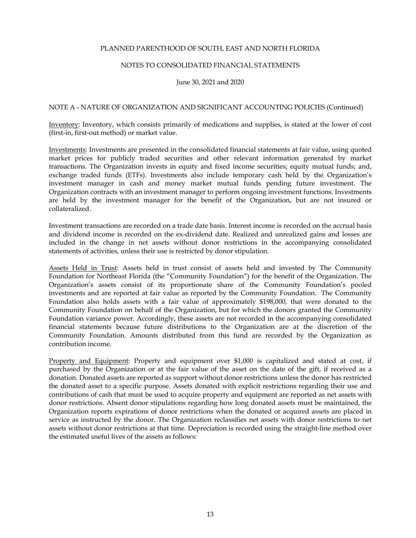#### NOTES TO CONSOLIDATED FINANCIAL STATEMENTS

#### June 30, 2021 and 2020

#### NOTE A - NATURE OF ORGANIZATION AND SIGNIFICANT ACCOUNTING POLICIES (Continued)

Inventory: Inventory, which consists primarily of medications and supplies, is stated at the lower of cost (first-in, first-out method) or market value.

Investments: Investments are presented in the consolidated financial statements at fair value, using quoted market prices for publicly traded securities and other relevant information generated by market transactions. The Organization invests in equity and fixed income securities; equity mutual funds; and, exchange traded funds (ETFs). Investments also include temporary cash held by the Organization's investment manager in cash and money market mutual funds pending future investment. The Organization contracts with an investment manager to perform ongoing investment functions. Investments are held by the investment manager for the benefit of the Organization, but are not insured or collateralized.

Investment transactions are recorded on a trade date basis. Interest income is recorded on the accrual basis and dividend income is recorded on the ex-dividend date. Realized and unrealized gains and losses are included in the change in net assets without donor restrictions in the accompanying consolidated statements of activities, unless their use is restricted by donor stipulation.

Assets Held in Trust: Assets held in trust consist of assets held and invested by The Community Foundation for Northeast Florida (the "Community Foundation") for the benefit of the Organization. The Organization's assets consist of its proportionate share of the Community Foundation's pooled investments and are reported at fair value as reported by the Community Foundation. The Community Foundation also holds assets with a fair value of approximately \$198,000, that were donated to the Community Foundation on behalf of the Organization, but for which the donors granted the Community Foundation variance power. Accordingly, these assets are not recorded in the accompanying consolidated financial statements because future distributions to the Organization are at the discretion of the Community Foundation. Amounts distributed from this fund are recorded by the Organization as contribution income.

Property and Equipment: Property and equipment over \$1,000 is capitalized and stated at cost, if purchased by the Organization or at the fair value of the asset on the date of the gift, if received as a donation. Donated assets are reported as support without donor restrictions unless the donor has restricted the donated asset to a specific purpose. Assets donated with explicit restrictions regarding their use and contributions of cash that must be used to acquire property and equipment are reported as net assets with donor restrictions. Absent donor stipulations regarding how long donated assets must be maintained, the Organization reports expirations of donor restrictions when the donated or acquired assets are placed in service as instructed by the donor. The Organization reclassifies net assets with donor restrictions to net assets without donor restrictions at that time. Depreciation is recorded using the straight-line method over the estimated useful lives of the assets as follows: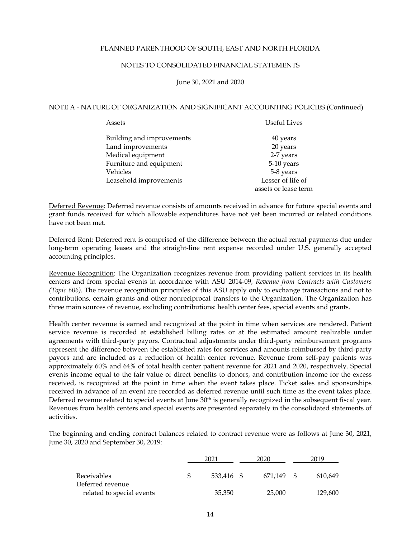#### NOTES TO CONSOLIDATED FINANCIAL STATEMENTS

#### June 30, 2021 and 2020

#### NOTE A - NATURE OF ORGANIZATION AND SIGNIFICANT ACCOUNTING POLICIES (Continued)

| Assets                    | <b>Useful Lives</b>  |
|---------------------------|----------------------|
| Building and improvements | 40 years             |
| Land improvements         | 20 years             |
| Medical equipment         | 2-7 years            |
| Furniture and equipment   | 5-10 years           |
| Vehicles                  | 5-8 years            |
| Leasehold improvements    | Lesser of life of    |
|                           | assets or lease term |

Deferred Revenue: Deferred revenue consists of amounts received in advance for future special events and grant funds received for which allowable expenditures have not yet been incurred or related conditions have not been met.

Deferred Rent: Deferred rent is comprised of the difference between the actual rental payments due under long-term operating leases and the straight-line rent expense recorded under U.S. generally accepted accounting principles.

Revenue Recognition: The Organization recognizes revenue from providing patient services in its health centers and from special events in accordance with ASU 2014-09, *Revenue from Contracts with Customers (Topic 606)*. The revenue recognition principles of this ASU apply only to exchange transactions and not to contributions, certain grants and other nonreciprocal transfers to the Organization. The Organization has three main sources of revenue, excluding contributions: health center fees, special events and grants.

Health center revenue is earned and recognized at the point in time when services are rendered. Patient service revenue is recorded at established billing rates or at the estimated amount realizable under agreements with third-party payors. Contractual adjustments under third-party reimbursement programs represent the difference between the established rates for services and amounts reimbursed by third-party payors and are included as a reduction of health center revenue. Revenue from self-pay patients was approximately 60% and 64% of total health center patient revenue for 2021 and 2020, respectively. Special events income equal to the fair value of direct benefits to donors, and contribution income for the excess received, is recognized at the point in time when the event takes place. Ticket sales and sponsorships received in advance of an event are recorded as deferred revenue until such time as the event takes place. Deferred revenue related to special events at June 30<sup>th</sup> is generally recognized in the subsequent fiscal year. Revenues from health centers and special events are presented separately in the consolidated statements of activities.

The beginning and ending contract balances related to contract revenue were as follows at June 30, 2021, June 30, 2020 and September 30, 2019:

|                                 |     | 2021       | 2020    | 2019          |         |
|---------------------------------|-----|------------|---------|---------------|---------|
| Receivables<br>Deferred revenue | \$. | 533.416 \$ | 671.149 | $\mathcal{S}$ | 610.649 |
| related to special events       |     | 35,350     | 25,000  |               | 129,600 |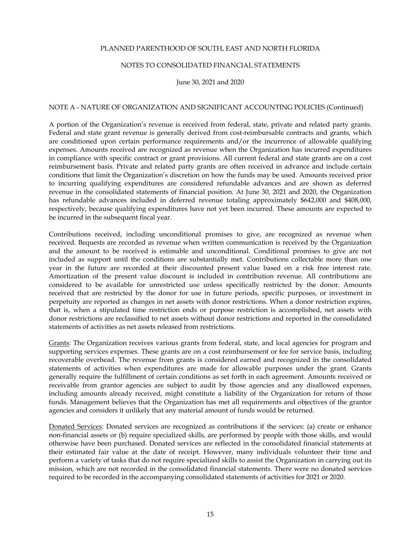#### NOTES TO CONSOLIDATED FINANCIAL STATEMENTS

#### June 30, 2021 and 2020

#### NOTE A - NATURE OF ORGANIZATION AND SIGNIFICANT ACCOUNTING POLICIES (Continued)

A portion of the Organization's revenue is received from federal, state, private and related party grants. Federal and state grant revenue is generally derived from cost-reimbursable contracts and grants, which are conditioned upon certain performance requirements and/or the incurrence of allowable qualifying expenses. Amounts received are recognized as revenue when the Organization has incurred expenditures in compliance with specific contract or grant provisions. All current federal and state grants are on a cost reimbursement basis. Private and related party grants are often received in advance and include certain conditions that limit the Organization's discretion on how the funds may be used. Amounts received prior to incurring qualifying expenditures are considered refundable advances and are shown as deferred revenue in the consolidated statements of financial position. At June 30, 2021 and 2020, the Organization has refundable advances included in deferred revenue totaling approximately \$642,000 and \$408,000, respectively, because qualifying expenditures have not yet been incurred. These amounts are expected to be incurred in the subsequent fiscal year.

Contributions received, including unconditional promises to give, are recognized as revenue when received. Bequests are recorded as revenue when written communication is received by the Organization and the amount to be received is estimable and unconditional. Conditional promises to give are not included as support until the conditions are substantially met. Contributions collectable more than one year in the future are recorded at their discounted present value based on a risk free interest rate. Amortization of the present value discount is included in contribution revenue. All contributions are considered to be available for unrestricted use unless specifically restricted by the donor. Amounts received that are restricted by the donor for use in future periods, specific purposes, or investment in perpetuity are reported as changes in net assets with donor restrictions. When a donor restriction expires, that is, when a stipulated time restriction ends or purpose restriction is accomplished, net assets with donor restrictions are reclassified to net assets without donor restrictions and reported in the consolidated statements of activities as net assets released from restrictions.

Grants: The Organization receives various grants from federal, state, and local agencies for program and supporting services expenses. These grants are on a cost reimbursement or fee for service basis, including recoverable overhead. The revenue from grants is considered earned and recognized in the consolidated statements of activities when expenditures are made for allowable purposes under the grant. Grants generally require the fulfillment of certain conditions as set forth in each agreement. Amounts received or receivable from grantor agencies are subject to audit by those agencies and any disallowed expenses, including amounts already received, might constitute a liability of the Organization for return of those funds. Management believes that the Organization has met all requirements and objectives of the grantor agencies and considers it unlikely that any material amount of funds would be returned.

Donated Services: Donated services are recognized as contributions if the services: (a) create or enhance non-financial assets or (b) require specialized skills, are performed by people with those skills, and would otherwise have been purchased. Donated services are reflected in the consolidated financial statements at their estimated fair value at the date of receipt. However, many individuals volunteer their time and perform a variety of tasks that do not require specialized skills to assist the Organization in carrying out its mission, which are not recorded in the consolidated financial statements. There were no donated services required to be recorded in the accompanying consolidated statements of activities for 2021 or 2020.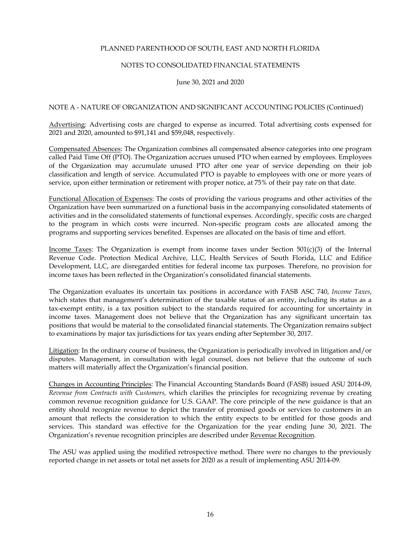#### NOTES TO CONSOLIDATED FINANCIAL STATEMENTS

#### June 30, 2021 and 2020

#### NOTE A - NATURE OF ORGANIZATION AND SIGNIFICANT ACCOUNTING POLICIES (Continued)

Advertising: Advertising costs are charged to expense as incurred. Total advertising costs expensed for 2021 and 2020, amounted to \$91,141 and \$59,048, respectively.

Compensated Absences: The Organization combines all compensated absence categories into one program called Paid Time Off (PTO). The Organization accrues unused PTO when earned by employees. Employees of the Organization may accumulate unused PTO after one year of service depending on their job classification and length of service. Accumulated PTO is payable to employees with one or more years of service, upon either termination or retirement with proper notice, at 75% of their pay rate on that date.

Functional Allocation of Expenses: The costs of providing the various programs and other activities of the Organization have been summarized on a functional basis in the accompanying consolidated statements of activities and in the consolidated statements of functional expenses. Accordingly, specific costs are charged to the program in which costs were incurred. Non-specific program costs are allocated among the programs and supporting services benefited. Expenses are allocated on the basis of time and effort.

Income Taxes: The Organization is exempt from income taxes under Section  $501(c)(3)$  of the Internal Revenue Code. Protection Medical Archive, LLC, Health Services of South Florida, LLC and Edifice Development, LLC, are disregarded entities for federal income tax purposes. Therefore, no provision for income taxes has been reflected in the Organization's consolidated financial statements.

The Organization evaluates its uncertain tax positions in accordance with FASB ASC 740, *Income Taxes*, which states that management's determination of the taxable status of an entity, including its status as a tax-exempt entity, is a tax position subject to the standards required for accounting for uncertainty in income taxes. Management does not believe that the Organization has any significant uncertain tax positions that would be material to the consolidated financial statements. The Organization remains subject to examinations by major tax jurisdictions for tax years ending after September 30, 2017.

Litigation: In the ordinary course of business, the Organization is periodically involved in litigation and/or disputes. Management, in consultation with legal counsel, does not believe that the outcome of such matters will materially affect the Organization's financial position.

Changes in Accounting Principles: The Financial Accounting Standards Board (FASB) issued ASU 2014-09, *Revenue from Contracts with Customers,* which clarifies the principles for recognizing revenue by creating common revenue recognition guidance for U.S. GAAP. The core principle of the new guidance is that an entity should recognize revenue to depict the transfer of promised goods or services to customers in an amount that reflects the consideration to which the entity expects to be entitled for those goods and services. This standard was effective for the Organization for the year ending June 30, 2021. The Organization's revenue recognition principles are described under Revenue Recognition.

The ASU was applied using the modified retrospective method. There were no changes to the previously reported change in net assets or total net assets for 2020 as a result of implementing ASU 2014-09.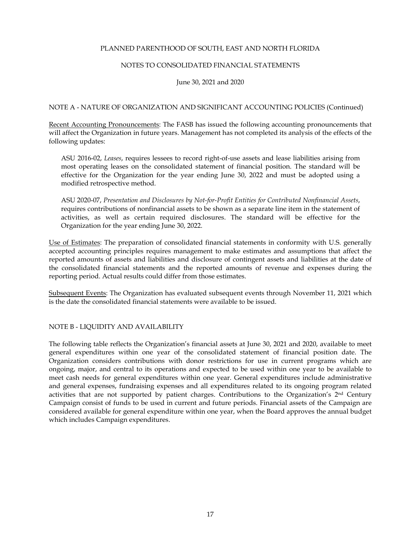#### NOTES TO CONSOLIDATED FINANCIAL STATEMENTS

#### June 30, 2021 and 2020

#### NOTE A - NATURE OF ORGANIZATION AND SIGNIFICANT ACCOUNTING POLICIES (Continued)

Recent Accounting Pronouncements: The FASB has issued the following accounting pronouncements that will affect the Organization in future years. Management has not completed its analysis of the effects of the following updates:

ASU 2016-02, *Leases*, requires lessees to record right-of-use assets and lease liabilities arising from most operating leases on the consolidated statement of financial position. The standard will be effective for the Organization for the year ending June 30, 2022 and must be adopted using a modified retrospective method.

ASU 2020-07, *Presentation and Disclosures by Not-for-Profit Entities for Contributed Nonfinancial Assets*, requires contributions of nonfinancial assets to be shown as a separate line item in the statement of activities, as well as certain required disclosures. The standard will be effective for the Organization for the year ending June 30, 2022.

Use of Estimates: The preparation of consolidated financial statements in conformity with U.S. generally accepted accounting principles requires management to make estimates and assumptions that affect the reported amounts of assets and liabilities and disclosure of contingent assets and liabilities at the date of the consolidated financial statements and the reported amounts of revenue and expenses during the reporting period. Actual results could differ from those estimates.

Subsequent Events: The Organization has evaluated subsequent events through November 11, 2021 which is the date the consolidated financial statements were available to be issued.

#### NOTE B - LIQUIDITY AND AVAILABILITY

The following table reflects the Organization's financial assets at June 30, 2021 and 2020, available to meet general expenditures within one year of the consolidated statement of financial position date. The Organization considers contributions with donor restrictions for use in current programs which are ongoing, major, and central to its operations and expected to be used within one year to be available to meet cash needs for general expenditures within one year. General expenditures include administrative and general expenses, fundraising expenses and all expenditures related to its ongoing program related activities that are not supported by patient charges. Contributions to the Organization's 2<sup>nd</sup> Century Campaign consist of funds to be used in current and future periods. Financial assets of the Campaign are considered available for general expenditure within one year, when the Board approves the annual budget which includes Campaign expenditures.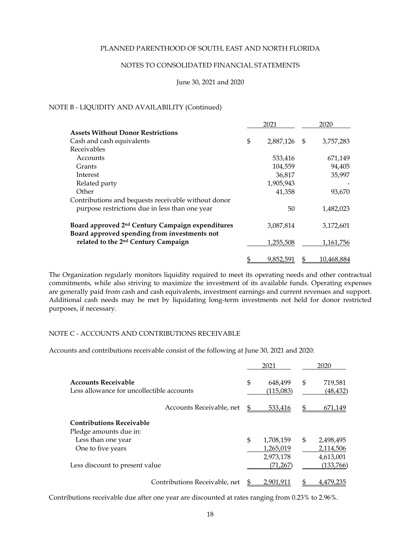## NOTES TO CONSOLIDATED FINANCIAL STATEMENTS

#### June 30, 2021 and 2020

#### NOTE B - LIQUIDITY AND AVAILABILITY (Continued)

|                                                                                                              | 2021            |      | 2020       |
|--------------------------------------------------------------------------------------------------------------|-----------------|------|------------|
| <b>Assets Without Donor Restrictions</b>                                                                     |                 |      |            |
| Cash and cash equivalents                                                                                    | \$<br>2.887.126 | - \$ | 3,757,283  |
| Receivables                                                                                                  |                 |      |            |
| Accounts                                                                                                     | 533,416         |      | 671,149    |
| Grants                                                                                                       | 104,559         |      | 94,405     |
| Interest                                                                                                     | 36,817          |      | 35,997     |
| Related party                                                                                                | 1,905,943       |      |            |
| Other                                                                                                        | 41,358          |      | 93,670     |
| Contributions and bequests receivable without donor                                                          |                 |      |            |
| purpose restrictions due in less than one year                                                               | 50              |      | 1,482,023  |
| Board approved 2 <sup>nd</sup> Century Campaign expenditures<br>Board approved spending from investments not | 3,087,814       |      | 3,172,601  |
| related to the 2 <sup>nd</sup> Century Campaign                                                              | 1,255,508       |      | 1,161,756  |
|                                                                                                              | 9,852,591       | \$   | 10,468,884 |

The Organization regularly monitors liquidity required to meet its operating needs and other contractual commitments, while also striving to maximize the investment of its available funds. Operating expenses are generally paid from cash and cash equivalents, investment earnings and current revenues and support. Additional cash needs may be met by liquidating long-term investments not held for donor restricted purposes, if necessary.

#### NOTE C - ACCOUNTS AND CONTRIBUTIONS RECEIVABLE

Accounts and contributions receivable consist of the following at June 30, 2021 and 2020:

|                                                                         |                               | 2021                                      |     | 2020                                |
|-------------------------------------------------------------------------|-------------------------------|-------------------------------------------|-----|-------------------------------------|
| <b>Accounts Receivable</b><br>Less allowance for uncollectible accounts |                               | \$<br>648,499<br>(115,083)                | \$  | 719,581<br>(48, 432)                |
|                                                                         | Accounts Receivable, net      | \$<br>533,416                             |     | 671.149                             |
| <b>Contributions Receivable</b><br>Pledge amounts due in:               |                               |                                           |     |                                     |
| Less than one year<br>One to five years                                 |                               | \$<br>1,708,159<br>1,265,019<br>2,973,178 | \$. | 2,498,495<br>2,114,506<br>4,613,001 |
| Less discount to present value                                          |                               | (71, 267)                                 |     | (133,766)                           |
|                                                                         | Contributions Receivable, net | \$<br>2.901.91                            |     |                                     |

Contributions receivable due after one year are discounted at rates ranging from 0.23% to 2.96%.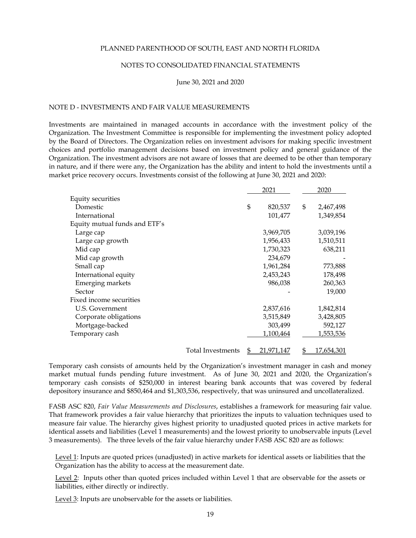#### NOTES TO CONSOLIDATED FINANCIAL STATEMENTS

#### June 30, 2021 and 2020

#### NOTE D - INVESTMENTS AND FAIR VALUE MEASUREMENTS

Investments are maintained in managed accounts in accordance with the investment policy of the Organization. The Investment Committee is responsible for implementing the investment policy adopted by the Board of Directors. The Organization relies on investment advisors for making specific investment choices and portfolio management decisions based on investment policy and general guidance of the Organization. The investment advisors are not aware of losses that are deemed to be other than temporary in nature, and if there were any, the Organization has the ability and intent to hold the investments until a market price recovery occurs. Investments consist of the following at June 30, 2021 and 2020:

|                               |                   | 2021             | 2020             |
|-------------------------------|-------------------|------------------|------------------|
| Equity securities             |                   |                  |                  |
| Domestic                      |                   | \$<br>820,537    | \$<br>2,467,498  |
| International                 |                   | 101,477          | 1,349,854        |
| Equity mutual funds and ETF's |                   |                  |                  |
| Large cap                     |                   | 3,969,705        | 3,039,196        |
| Large cap growth              |                   | 1,956,433        | 1,510,511        |
| Mid cap                       |                   | 1,730,323        | 638,211          |
| Mid cap growth                |                   | 234,679          |                  |
| Small cap                     |                   | 1,961,284        | 773,888          |
| International equity          |                   | 2,453,243        | 178,498          |
| Emerging markets              |                   | 986,038          | 260,363          |
| Sector                        |                   |                  | 19,000           |
| Fixed income securities       |                   |                  |                  |
| U.S. Government               |                   | 2,837,616        | 1,842,814        |
| Corporate obligations         |                   | 3,515,849        | 3,428,805        |
| Mortgage-backed               |                   | 303,499          | 592,127          |
| Temporary cash                |                   | 1,100,464        | 1,553,536        |
|                               | Total Investments | \$<br>21,971,147 | \$<br>17,654,301 |

Temporary cash consists of amounts held by the Organization's investment manager in cash and money market mutual funds pending future investment. As of June 30, 2021 and 2020, the Organization's temporary cash consists of \$250,000 in interest bearing bank accounts that was covered by federal depository insurance and \$850,464 and \$1,303,536, respectively, that was uninsured and uncollateralized.

FASB ASC 820, *Fair Value Measurements and Disclosures*, establishes a framework for measuring fair value. That framework provides a fair value hierarchy that prioritizes the inputs to valuation techniques used to measure fair value. The hierarchy gives highest priority to unadjusted quoted prices in active markets for identical assets and liabilities (Level 1 measurements) and the lowest priority to unobservable inputs (Level 3 measurements). The three levels of the fair value hierarchy under FASB ASC 820 are as follows:

Level 1: Inputs are quoted prices (unadjusted) in active markets for identical assets or liabilities that the Organization has the ability to access at the measurement date.

Level 2: Inputs other than quoted prices included within Level 1 that are observable for the assets or liabilities, either directly or indirectly.

Level 3: Inputs are unobservable for the assets or liabilities.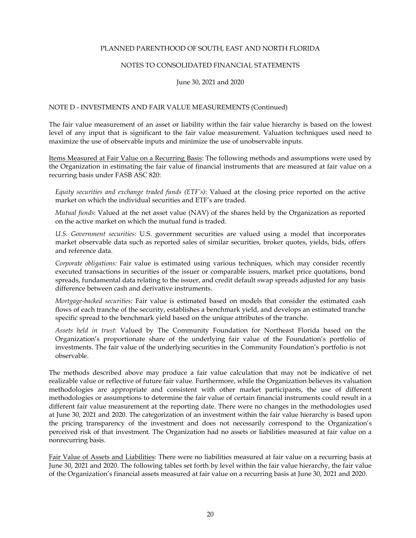#### NOTES TO CONSOLIDATED FINANCIAL STATEMENTS

June 30, 2021 and 2020

#### NOTE D - INVESTMENTS AND FAIR VALUE MEASUREMENTS (Continued)

The fair value measurement of an asset or liability within the fair value hierarchy is based on the lowest level of any input that is significant to the fair value measurement. Valuation techniques used need to maximize the use of observable inputs and minimize the use of unobservable inputs.

Items Measured at Fair Value on a Recurring Basis: The following methods and assumptions were used by the Organization in estimating the fair value of financial instruments that are measured at fair value on a recurring basis under FASB ASC 820:

*Equity securities and exchange traded funds (ETF's)*: Valued at the closing price reported on the active market on which the individual securities and ETF's are traded.

*Mutual funds*: Valued at the net asset value (NAV) of the shares held by the Organization as reported on the active market on which the mutual fund is traded.

*U.S. Government securities:* U.S. government securities are valued using a model that incorporates market observable data such as reported sales of similar securities, broker quotes, yields, bids, offers and reference data.

*Corporate obligations:* Fair value is estimated using various techniques, which may consider recently executed transactions in securities of the issuer or comparable issuers, market price quotations, bond spreads, fundamental data relating to the issuer, and credit default swap spreads adjusted for any basis difference between cash and derivative instruments.

*Mortgage-backed securities:* Fair value is estimated based on models that consider the estimated cash flows of each tranche of the security, establishes a benchmark yield, and develops an estimated tranche specific spread to the benchmark yield based on the unique attributes of the tranche.

*Assets held in trust*: Valued by The Community Foundation for Northeast Florida based on the Organization's proportionate share of the underlying fair value of the Foundation's portfolio of investments. The fair value of the underlying securities in the Community Foundation's portfolio is not observable.

The methods described above may produce a fair value calculation that may not be indicative of net realizable value or reflective of future fair value. Furthermore, while the Organization believes its valuation methodologies are appropriate and consistent with other market participants, the use of different methodologies or assumptions to determine the fair value of certain financial instruments could result in a different fair value measurement at the reporting date. There were no changes in the methodologies used at June 30, 2021 and 2020. The categorization of an investment within the fair value hierarchy is based upon the pricing transparency of the investment and does not necessarily correspond to the Organization's perceived risk of that investment. The Organization had no assets or liabilities measured at fair value on a nonrecurring basis.

Fair Value of Assets and Liabilities: There were no liabilities measured at fair value on a recurring basis at June 30, 2021 and 2020. The following tables set forth by level within the fair value hierarchy, the fair value of the Organization's financial assets measured at fair value on a recurring basis at June 30, 2021 and 2020.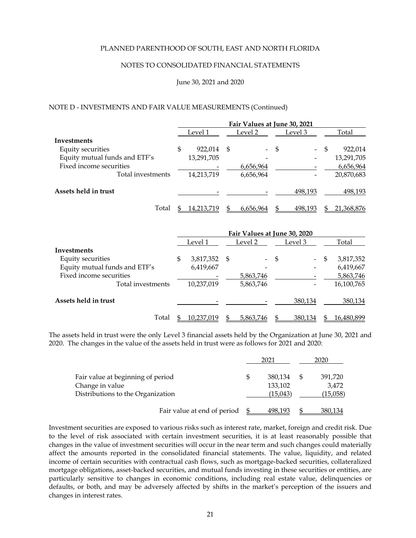#### NOTES TO CONSOLIDATED FINANCIAL STATEMENTS

#### June 30, 2021 and 2020

#### NOTE D - INVESTMENTS AND FAIR VALUE MEASUREMENTS (Continued)

|                               | Fair Values at June 30, 2021 |            |      |                |      |         |      |            |
|-------------------------------|------------------------------|------------|------|----------------|------|---------|------|------------|
|                               |                              | Level 1    |      | Level 2        |      | Level 3 |      | Total      |
| Investments                   |                              |            |      |                |      |         |      |            |
| <b>Equity securities</b>      | \$                           | 922.014    | - \$ | $\blacksquare$ | - \$ | $\sim$  | - \$ | 922,014    |
| Equity mutual funds and ETF's |                              | 13,291,705 |      |                |      |         |      | 13,291,705 |
| Fixed income securities       |                              |            |      | 6,656,964      |      |         |      | 6,656,964  |
| Total investments             |                              | 14,213,719 |      | 6,656,964      |      |         |      | 20,870,683 |
| Assets held in trust          |                              |            |      |                |      | 498,193 |      | 498,193    |
| Total                         |                              | 14.213.719 |      | 6,656,964      |      | 498.193 |      | 21,368,876 |

|                               | Fair Values at June 30, 2020 |            |     |           |      |         |    |            |
|-------------------------------|------------------------------|------------|-----|-----------|------|---------|----|------------|
|                               |                              | Level 1    |     | Level 2   |      | Level 3 |    | Total      |
| <b>Investments</b>            |                              |            |     |           |      |         |    |            |
| Equity securities             | \$                           | 3,817,352  | -55 | $\sim$    | - \$ | $\sim$  | \$ | 3,817,352  |
| Equity mutual funds and ETF's |                              | 6,419,667  |     | -         |      |         |    | 6,419,667  |
| Fixed income securities       |                              |            |     | 5,863,746 |      |         |    | 5,863,746  |
| Total investments             |                              | 10,237,019 |     | 5,863,746 |      |         |    | 16,100,765 |
| Assets held in trust          |                              |            |     |           |      | 380,134 |    | 380,134    |
| Total                         |                              | 10,237,019 |     | 5,863,746 |      | 380,134 |    | 16,480,899 |

The assets held in trust were the only Level 3 financial assets held by the Organization at June 30, 2021 and 2020. The changes in the value of the assets held in trust were as follows for 2021 and 2020:

|                                   | 2021          | 2020     |
|-----------------------------------|---------------|----------|
| Fair value at beginning of period | \$<br>380.134 | 391,720  |
| Change in value                   | 133,102       | 3.472    |
| Distributions to the Organization | (15,043)      | (15,058) |
| Fair value at end of period       | 498.193       | 380,134  |

Investment securities are exposed to various risks such as interest rate, market, foreign and credit risk. Due to the level of risk associated with certain investment securities, it is at least reasonably possible that changes in the value of investment securities will occur in the near term and such changes could materially affect the amounts reported in the consolidated financial statements. The value, liquidity, and related income of certain securities with contractual cash flows, such as mortgage-backed securities, collateralized mortgage obligations, asset-backed securities, and mutual funds investing in these securities or entities, are particularly sensitive to changes in economic conditions, including real estate value, delinquencies or defaults, or both, and may be adversely affected by shifts in the market's perception of the issuers and changes in interest rates.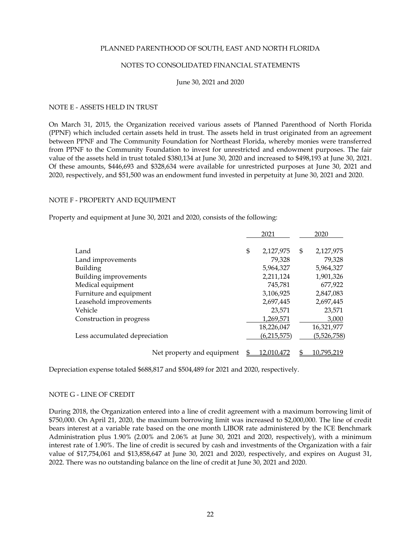#### NOTES TO CONSOLIDATED FINANCIAL STATEMENTS

#### June 30, 2021 and 2020

#### NOTE E - ASSETS HELD IN TRUST

On March 31, 2015, the Organization received various assets of Planned Parenthood of North Florida (PPNF) which included certain assets held in trust. The assets held in trust originated from an agreement between PPNF and The Community Foundation for Northeast Florida, whereby monies were transferred from PPNF to the Community Foundation to invest for unrestricted and endowment purposes. The fair value of the assets held in trust totaled \$380,134 at June 30, 2020 and increased to \$498,193 at June 30, 2021. Of these amounts, \$446,693 and \$328,634 were available for unrestricted purposes at June 30, 2021 and 2020, respectively, and \$51,500 was an endowment fund invested in perpetuity at June 30, 2021 and 2020.

#### NOTE F - PROPERTY AND EQUIPMENT

Property and equipment at June 30, 2021 and 2020, consists of the following:

|                               | 2021             | 2020            |
|-------------------------------|------------------|-----------------|
| Land                          | \$<br>2,127,975  | \$<br>2,127,975 |
| Land improvements             | 79,328           | 79,328          |
| Building                      | 5,964,327        | 5,964,327       |
| Building improvements         | 2,211,124        | 1,901,326       |
| Medical equipment             | 745,781          | 677,922         |
| Furniture and equipment       | 3,106,925        | 2,847,083       |
| Leasehold improvements        | 2,697,445        | 2,697,445       |
| Vehicle                       | 23,571           | 23,571          |
| Construction in progress      | 1,269,571        | 3,000           |
|                               | 18,226,047       | 16,321,977      |
| Less accumulated depreciation | (6,215,575)      | (5,526,758)     |
| Net property and equipment    | \$<br>12,010,472 | 10,795,219      |

Depreciation expense totaled \$688,817 and \$504,489 for 2021 and 2020, respectively.

#### NOTE G - LINE OF CREDIT

During 2018, the Organization entered into a line of credit agreement with a maximum borrowing limit of \$750,000. On April 21, 2020, the maximum borrowing limit was increased to \$2,000,000. The line of credit bears interest at a variable rate based on the one month LIBOR rate administered by the ICE Benchmark Administration plus 1.90% (2.00% and 2.06% at June 30, 2021 and 2020, respectively), with a minimum interest rate of 1.90%. The line of credit is secured by cash and investments of the Organization with a fair value of \$17,754,061 and \$13,858,647 at June 30, 2021 and 2020, respectively, and expires on August 31, 2022. There was no outstanding balance on the line of credit at June 30, 2021 and 2020.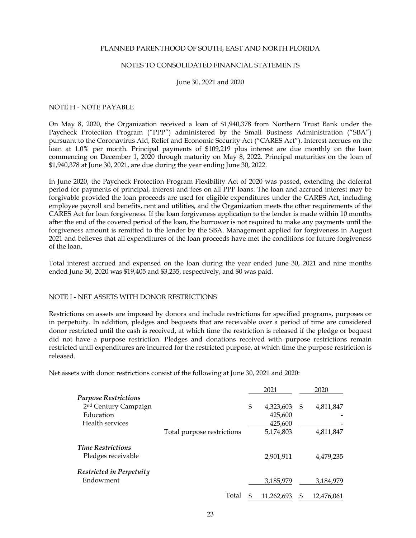#### NOTES TO CONSOLIDATED FINANCIAL STATEMENTS

#### June 30, 2021 and 2020

#### NOTE H - NOTE PAYABLE

On May 8, 2020, the Organization received a loan of \$1,940,378 from Northern Trust Bank under the Paycheck Protection Program ("PPP") administered by the Small Business Administration ("SBA") pursuant to the Coronavirus Aid, Relief and Economic Security Act ("CARES Act"). Interest accrues on the loan at 1.0% per month. Principal payments of \$109,219 plus interest are due monthly on the loan commencing on December 1, 2020 through maturity on May 8, 2022. Principal maturities on the loan of \$1,940,378 at June 30, 2021, are due during the year ending June 30, 2022.

In June 2020, the Paycheck Protection Program Flexibility Act of 2020 was passed, extending the deferral period for payments of principal, interest and fees on all PPP loans. The loan and accrued interest may be forgivable provided the loan proceeds are used for eligible expenditures under the CARES Act, including employee payroll and benefits, rent and utilities, and the Organization meets the other requirements of the CARES Act for loan forgiveness. If the loan forgiveness application to the lender is made within 10 months after the end of the covered period of the loan, the borrower is not required to make any payments until the forgiveness amount is remitted to the lender by the SBA. Management applied for forgiveness in August 2021 and believes that all expenditures of the loan proceeds have met the conditions for future forgiveness of the loan.

Total interest accrued and expensed on the loan during the year ended June 30, 2021 and nine months ended June 30, 2020 was \$19,405 and \$3,235, respectively, and \$0 was paid.

#### NOTE I - NET ASSETS WITH DONOR RESTRICTIONS

Restrictions on assets are imposed by donors and include restrictions for specified programs, purposes or in perpetuity. In addition, pledges and bequests that are receivable over a period of time are considered donor restricted until the cash is received, at which time the restriction is released if the pledge or bequest did not have a purpose restriction. Pledges and donations received with purpose restrictions remain restricted until expenditures are incurred for the restricted purpose, at which time the purpose restriction is released.

Net assets with donor restrictions consist of the following at June 30, 2021 and 2020:

|                                  |                            | 2021            |    | 2020       |
|----------------------------------|----------------------------|-----------------|----|------------|
| <b>Purpose Restrictions</b>      |                            |                 |    |            |
| 2 <sup>nd</sup> Century Campaign |                            | \$<br>4,323,603 | S  | 4,811,847  |
| Education                        |                            | 425,600         |    |            |
| Health services                  |                            | 425,600         |    |            |
|                                  | Total purpose restrictions | 5,174,803       |    | 4,811,847  |
| <b>Time Restrictions</b>         |                            |                 |    |            |
| Pledges receivable               |                            | 2,901,911       |    | 4,479,235  |
| <b>Restricted in Perpetuity</b>  |                            |                 |    |            |
| Endowment                        |                            | 3,185,979       |    | 3,184,979  |
|                                  | Total                      | 11.262.693      | \$ | 12,476,061 |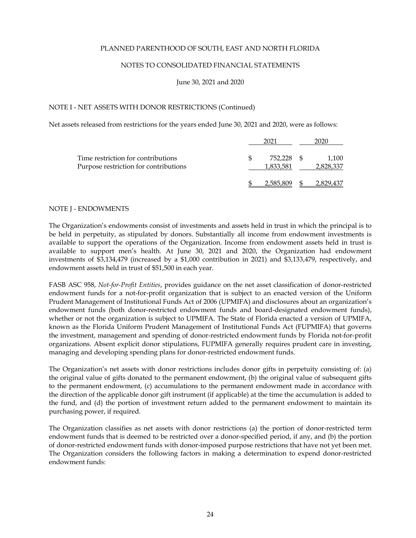#### NOTES TO CONSOLIDATED FINANCIAL STATEMENTS

June 30, 2021 and 2020

#### NOTE I - NET ASSETS WITH DONOR RESTRICTIONS (Continued)

Net assets released from restrictions for the years ended June 30, 2021 and 2020, were as follows:

|                                                                             |     | 2021                    | 2020               |
|-----------------------------------------------------------------------------|-----|-------------------------|--------------------|
| Time restriction for contributions<br>Purpose restriction for contributions | \$. | 752.228 \$<br>1,833,581 | 1.100<br>2,828,337 |
|                                                                             |     | 2,585,809               |                    |

#### NOTE J - ENDOWMENTS

The Organization's endowments consist of investments and assets held in trust in which the principal is to be held in perpetuity, as stipulated by donors. Substantially all income from endowment investments is available to support the operations of the Organization. Income from endowment assets held in trust is available to support men's health. At June 30, 2021 and 2020, the Organization had endowment investments of \$3,134,479 (increased by a \$1,000 contribution in 2021) and \$3,133,479, respectively, and endowment assets held in trust of \$51,500 in each year.

FASB ASC 958, *Not-for-Profit Entities*, provides guidance on the net asset classification of donor-restricted endowment funds for a not-for-profit organization that is subject to an enacted version of the Uniform Prudent Management of Institutional Funds Act of 2006 (UPMIFA) and disclosures about an organization's endowment funds (both donor-restricted endowment funds and board-designated endowment funds), whether or not the organization is subject to UPMIFA. The State of Florida enacted a version of UPMIFA, known as the Florida Uniform Prudent Management of Institutional Funds Act (FUPMIFA) that governs the investment, management and spending of donor-restricted endowment funds by Florida not-for-profit organizations. Absent explicit donor stipulations, FUPMIFA generally requires prudent care in investing, managing and developing spending plans for donor-restricted endowment funds.

The Organization's net assets with donor restrictions includes donor gifts in perpetuity consisting of: (a) the original value of gifts donated to the permanent endowment, (b) the original value of subsequent gifts to the permanent endowment, (c) accumulations to the permanent endowment made in accordance with the direction of the applicable donor gift instrument (if applicable) at the time the accumulation is added to the fund, and (d) the portion of investment return added to the permanent endowment to maintain its purchasing power, if required.

The Organization classifies as net assets with donor restrictions (a) the portion of donor-restricted term endowment funds that is deemed to be restricted over a donor-specified period, if any, and (b) the portion of donor-restricted endowment funds with donor-imposed purpose restrictions that have not yet been met. The Organization considers the following factors in making a determination to expend donor-restricted endowment funds: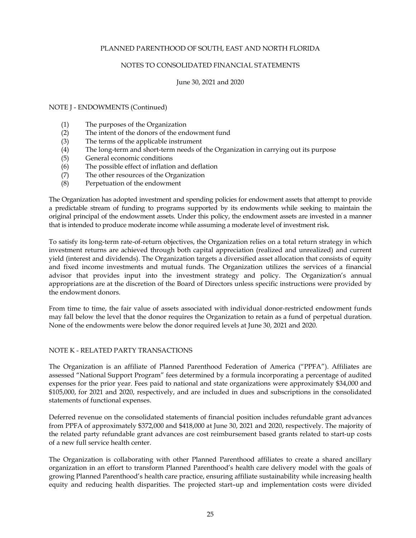#### NOTES TO CONSOLIDATED FINANCIAL STATEMENTS

#### June 30, 2021 and 2020

#### NOTE J - ENDOWMENTS (Continued)

- (1) The purposes of the Organization
- (2) The intent of the donors of the endowment fund
- (3) The terms of the applicable instrument
- (4) The long-term and short-term needs of the Organization in carrying out its purpose
- (5) General economic conditions
- (6) The possible effect of inflation and deflation
- (7) The other resources of the Organization
- (8) Perpetuation of the endowment

The Organization has adopted investment and spending policies for endowment assets that attempt to provide a predictable stream of funding to programs supported by its endowments while seeking to maintain the original principal of the endowment assets. Under this policy, the endowment assets are invested in a manner that is intended to produce moderate income while assuming a moderate level of investment risk.

To satisfy its long-term rate-of-return objectives, the Organization relies on a total return strategy in which investment returns are achieved through both capital appreciation (realized and unrealized) and current yield (interest and dividends). The Organization targets a diversified asset allocation that consists of equity and fixed income investments and mutual funds. The Organization utilizes the services of a financial advisor that provides input into the investment strategy and policy. The Organization's annual appropriations are at the discretion of the Board of Directors unless specific instructions were provided by the endowment donors.

From time to time, the fair value of assets associated with individual donor-restricted endowment funds may fall below the level that the donor requires the Organization to retain as a fund of perpetual duration. None of the endowments were below the donor required levels at June 30, 2021 and 2020.

#### NOTE K - RELATED PARTY TRANSACTIONS

The Organization is an affiliate of Planned Parenthood Federation of America ("PPFA"). Affiliates are assessed "National Support Program" fees determined by a formula incorporating a percentage of audited expenses for the prior year. Fees paid to national and state organizations were approximately \$34,000 and \$105,000, for 2021 and 2020, respectively, and are included in dues and subscriptions in the consolidated statements of functional expenses.

Deferred revenue on the consolidated statements of financial position includes refundable grant advances from PPFA of approximately \$372,000 and \$418,000 at June 30, 2021 and 2020, respectively. The majority of the related party refundable grant advances are cost reimbursement based grants related to start-up costs of a new full service health center.

The Organization is collaborating with other Planned Parenthood affiliates to create a shared ancillary organization in an effort to transform Planned Parenthood's health care delivery model with the goals of growing Planned Parenthood's health care practice, ensuring affiliate sustainability while increasing health equity and reducing health disparities. The projected start–up and implementation costs were divided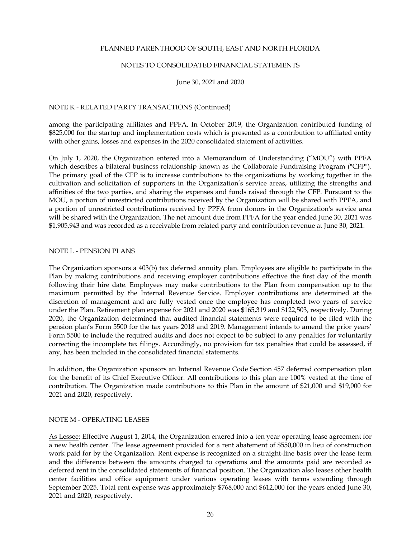#### NOTES TO CONSOLIDATED FINANCIAL STATEMENTS

#### June 30, 2021 and 2020

#### NOTE K - RELATED PARTY TRANSACTIONS (Continued)

among the participating affiliates and PPFA. In October 2019, the Organization contributed funding of \$825,000 for the startup and implementation costs which is presented as a contribution to affiliated entity with other gains, losses and expenses in the 2020 consolidated statement of activities.

On July 1, 2020, the Organization entered into a Memorandum of Understanding ("MOU") with PPFA which describes a bilateral business relationship known as the Collaborate Fundraising Program ("CFP"). The primary goal of the CFP is to increase contributions to the organizations by working together in the cultivation and solicitation of supporters in the Organization's service areas, utilizing the strengths and affinities of the two parties, and sharing the expenses and funds raised through the CFP. Pursuant to the MOU, a portion of unrestricted contributions received by the Organization will be shared with PPFA, and a portion of unrestricted contributions received by PPFA from donors in the Organization's service area will be shared with the Organization. The net amount due from PPFA for the year ended June 30, 2021 was \$1,905,943 and was recorded as a receivable from related party and contribution revenue at June 30, 2021.

#### NOTE L - PENSION PLANS

The Organization sponsors a 403(b) tax deferred annuity plan. Employees are eligible to participate in the Plan by making contributions and receiving employer contributions effective the first day of the month following their hire date. Employees may make contributions to the Plan from compensation up to the maximum permitted by the Internal Revenue Service. Employer contributions are determined at the discretion of management and are fully vested once the employee has completed two years of service under the Plan. Retirement plan expense for 2021 and 2020 was \$165,319 and \$122,503, respectively. During 2020, the Organization determined that audited financial statements were required to be filed with the pension plan's Form 5500 for the tax years 2018 and 2019. Management intends to amend the prior years' Form 5500 to include the required audits and does not expect to be subject to any penalties for voluntarily correcting the incomplete tax filings. Accordingly, no provision for tax penalties that could be assessed, if any, has been included in the consolidated financial statements.

In addition, the Organization sponsors an Internal Revenue Code Section 457 deferred compensation plan for the benefit of its Chief Executive Officer. All contributions to this plan are 100% vested at the time of contribution. The Organization made contributions to this Plan in the amount of \$21,000 and \$19,000 for 2021 and 2020, respectively.

#### NOTE M - OPERATING LEASES

As Lessee: Effective August 1, 2014, the Organization entered into a ten year operating lease agreement for a new health center. The lease agreement provided for a rent abatement of \$550,000 in lieu of construction work paid for by the Organization. Rent expense is recognized on a straight-line basis over the lease term and the difference between the amounts charged to operations and the amounts paid are recorded as deferred rent in the consolidated statements of financial position. The Organization also leases other health center facilities and office equipment under various operating leases with terms extending through September 2025. Total rent expense was approximately \$768,000 and \$612,000 for the years ended June 30, 2021 and 2020, respectively.